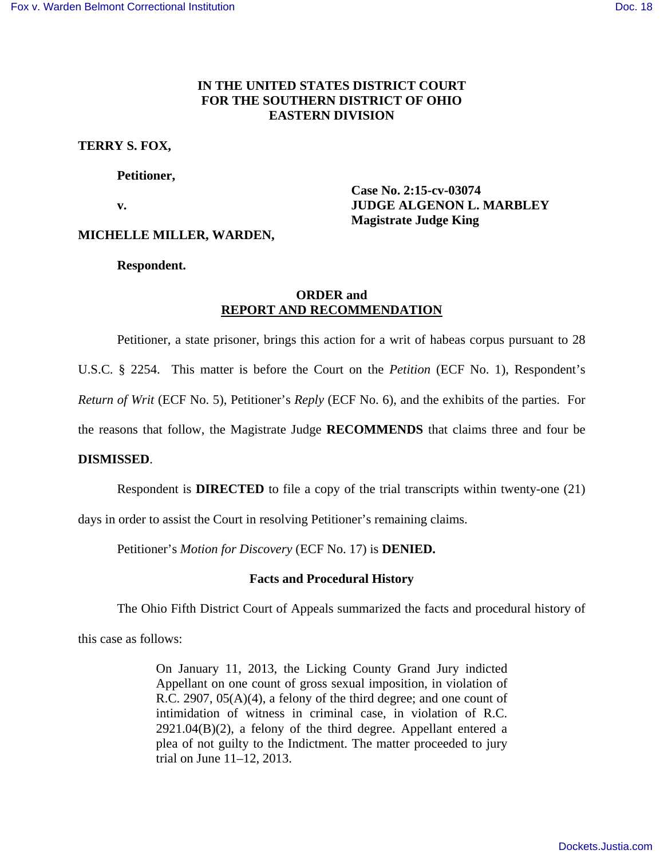# **IN THE UNITED STATES DISTRICT COURT FOR THE SOUTHERN DISTRICT OF OHIO EASTERN DIVISION**

## **TERRY S. FOX,**

 **Petitioner,** 

 **Case No. 2:15-cv-03074 v. IUDGE ALGENON L. MARBLEY Magistrate Judge King** 

## **MICHELLE MILLER, WARDEN,**

 **Respondent.** 

## **ORDER and REPORT AND RECOMMENDATION**

Petitioner, a state prisoner, brings this action for a writ of habeas corpus pursuant to 28

U.S.C. § 2254. This matter is before the Court on the *Petition* (ECF No. 1), Respondent's

*Return of Writ* (ECF No. 5), Petitioner's *Reply* (ECF No. 6), and the exhibits of the parties. For

the reasons that follow, the Magistrate Judge **RECOMMENDS** that claims three and four be

### **DISMISSED**.

Respondent is **DIRECTED** to file a copy of the trial transcripts within twenty-one (21)

days in order to assist the Court in resolving Petitioner's remaining claims.

Petitioner's *Motion for Discovery* (ECF No. 17) is **DENIED.** 

## **Facts and Procedural History**

The Ohio Fifth District Court of Appeals summarized the facts and procedural history of

this case as follows:

On January 11, 2013, the Licking County Grand Jury indicted Appellant on one count of gross sexual imposition, in violation of R.C. 2907, 05(A)(4), a felony of the third degree; and one count of intimidation of witness in criminal case, in violation of R.C.  $2921.04(B)(2)$ , a felony of the third degree. Appellant entered a plea of not guilty to the Indictment. The matter proceeded to jury trial on June 11–12, 2013.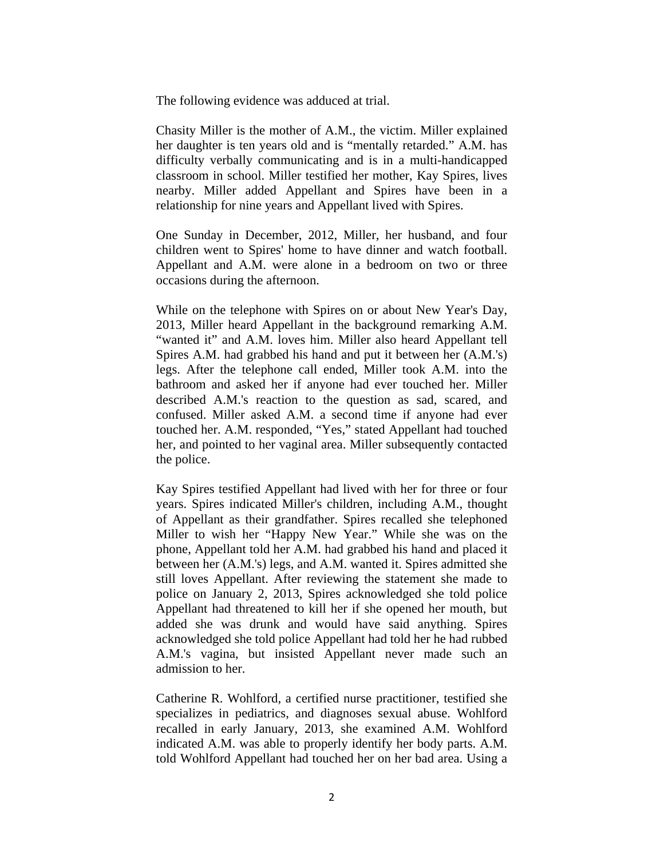The following evidence was adduced at trial.

Chasity Miller is the mother of A.M., the victim. Miller explained her daughter is ten years old and is "mentally retarded." A.M. has difficulty verbally communicating and is in a multi-handicapped classroom in school. Miller testified her mother, Kay Spires, lives nearby. Miller added Appellant and Spires have been in a relationship for nine years and Appellant lived with Spires.

One Sunday in December, 2012, Miller, her husband, and four children went to Spires' home to have dinner and watch football. Appellant and A.M. were alone in a bedroom on two or three occasions during the afternoon.

While on the telephone with Spires on or about New Year's Day, 2013, Miller heard Appellant in the background remarking A.M. "wanted it" and A.M. loves him. Miller also heard Appellant tell Spires A.M. had grabbed his hand and put it between her (A.M.'s) legs. After the telephone call ended, Miller took A.M. into the bathroom and asked her if anyone had ever touched her. Miller described A.M.'s reaction to the question as sad, scared, and confused. Miller asked A.M. a second time if anyone had ever touched her. A.M. responded, "Yes," stated Appellant had touched her, and pointed to her vaginal area. Miller subsequently contacted the police.

Kay Spires testified Appellant had lived with her for three or four years. Spires indicated Miller's children, including A.M., thought of Appellant as their grandfather. Spires recalled she telephoned Miller to wish her "Happy New Year." While she was on the phone, Appellant told her A.M. had grabbed his hand and placed it between her (A.M.'s) legs, and A.M. wanted it. Spires admitted she still loves Appellant. After reviewing the statement she made to police on January 2, 2013, Spires acknowledged she told police Appellant had threatened to kill her if she opened her mouth, but added she was drunk and would have said anything. Spires acknowledged she told police Appellant had told her he had rubbed A.M.'s vagina, but insisted Appellant never made such an admission to her.

Catherine R. Wohlford, a certified nurse practitioner, testified she specializes in pediatrics, and diagnoses sexual abuse. Wohlford recalled in early January, 2013, she examined A.M. Wohlford indicated A.M. was able to properly identify her body parts. A.M. told Wohlford Appellant had touched her on her bad area. Using a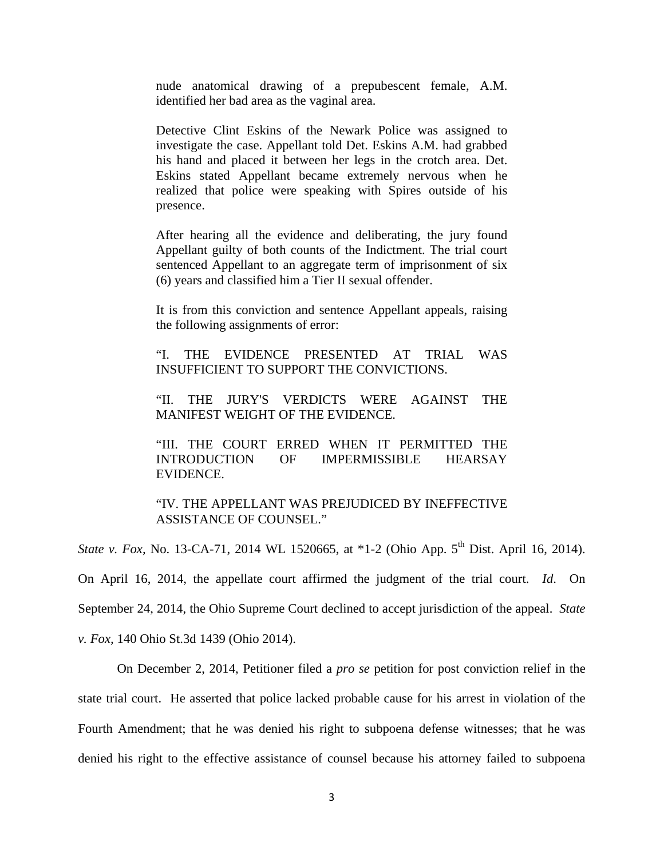nude anatomical drawing of a prepubescent female, A.M. identified her bad area as the vaginal area.

Detective Clint Eskins of the Newark Police was assigned to investigate the case. Appellant told Det. Eskins A.M. had grabbed his hand and placed it between her legs in the crotch area. Det. Eskins stated Appellant became extremely nervous when he realized that police were speaking with Spires outside of his presence.

After hearing all the evidence and deliberating, the jury found Appellant guilty of both counts of the Indictment. The trial court sentenced Appellant to an aggregate term of imprisonment of six (6) years and classified him a Tier II sexual offender.

It is from this conviction and sentence Appellant appeals, raising the following assignments of error:

"I. THE EVIDENCE PRESENTED AT TRIAL WAS INSUFFICIENT TO SUPPORT THE CONVICTIONS.

"II. THE JURY'S VERDICTS WERE AGAINST THE MANIFEST WEIGHT OF THE EVIDENCE.

"III. THE COURT ERRED WHEN IT PERMITTED THE INTRODUCTION OF IMPERMISSIBLE HEARSAY EVIDENCE.

"IV. THE APPELLANT WAS PREJUDICED BY INEFFECTIVE ASSISTANCE OF COUNSEL."

*State v. Fox, No.* 13-CA-71, 2014 WL 1520665, at \*1-2 (Ohio App. 5<sup>th</sup> Dist. April 16, 2014). On April 16, 2014, the appellate court affirmed the judgment of the trial court. *Id*. On September 24, 2014, the Ohio Supreme Court declined to accept jurisdiction of the appeal. *State v. Fox,* 140 Ohio St.3d 1439 (Ohio 2014).

 On December 2, 2014, Petitioner filed a *pro se* petition for post conviction relief in the state trial court. He asserted that police lacked probable cause for his arrest in violation of the Fourth Amendment; that he was denied his right to subpoena defense witnesses; that he was denied his right to the effective assistance of counsel because his attorney failed to subpoena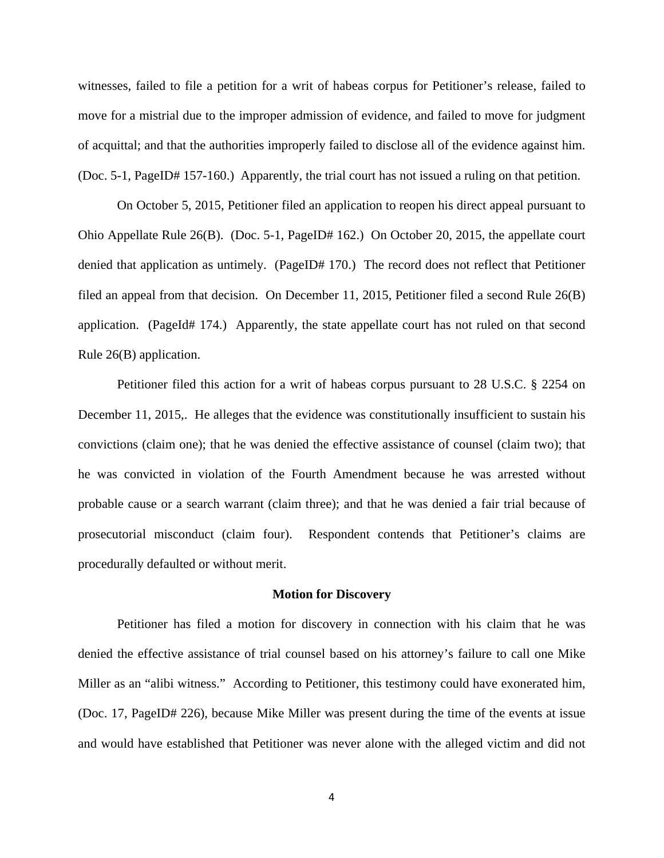witnesses, failed to file a petition for a writ of habeas corpus for Petitioner's release, failed to move for a mistrial due to the improper admission of evidence, and failed to move for judgment of acquittal; and that the authorities improperly failed to disclose all of the evidence against him. (Doc. 5-1, PageID# 157-160.) Apparently, the trial court has not issued a ruling on that petition.

 On October 5, 2015, Petitioner filed an application to reopen his direct appeal pursuant to Ohio Appellate Rule 26(B). (Doc. 5-1, PageID# 162.) On October 20, 2015, the appellate court denied that application as untimely. (PageID# 170.) The record does not reflect that Petitioner filed an appeal from that decision. On December 11, 2015, Petitioner filed a second Rule 26(B) application. (PageId# 174.) Apparently, the state appellate court has not ruled on that second Rule 26(B) application.

 Petitioner filed this action for a writ of habeas corpus pursuant to 28 U.S.C. § 2254 on December 11, 2015,. He alleges that the evidence was constitutionally insufficient to sustain his convictions (claim one); that he was denied the effective assistance of counsel (claim two); that he was convicted in violation of the Fourth Amendment because he was arrested without probable cause or a search warrant (claim three); and that he was denied a fair trial because of prosecutorial misconduct (claim four). Respondent contends that Petitioner's claims are procedurally defaulted or without merit.

#### **Motion for Discovery**

 Petitioner has filed a motion for discovery in connection with his claim that he was denied the effective assistance of trial counsel based on his attorney's failure to call one Mike Miller as an "alibi witness." According to Petitioner, this testimony could have exonerated him, (Doc. 17, PageID# 226), because Mike Miller was present during the time of the events at issue and would have established that Petitioner was never alone with the alleged victim and did not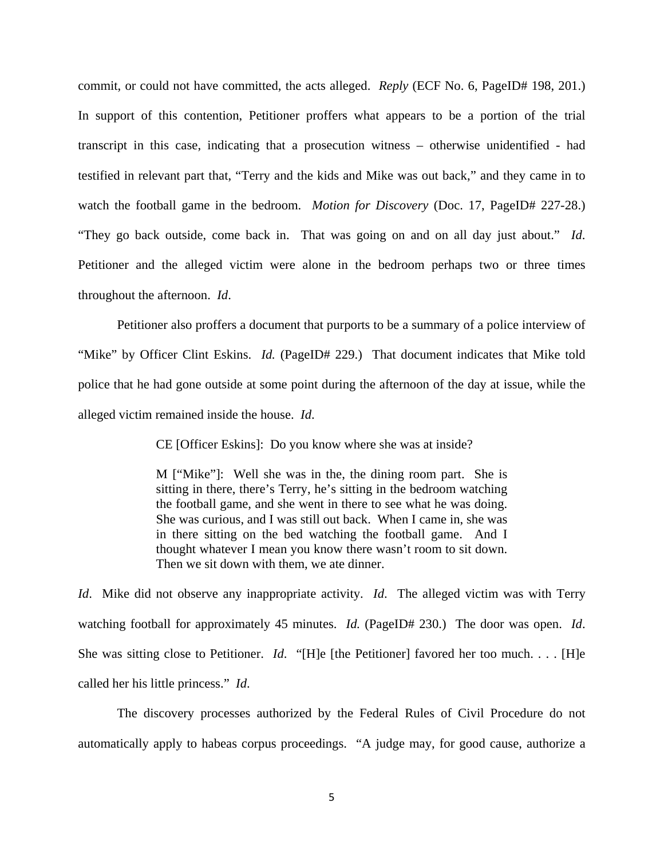commit, or could not have committed, the acts alleged. *Reply* (ECF No. 6, PageID# 198, 201.) In support of this contention, Petitioner proffers what appears to be a portion of the trial transcript in this case, indicating that a prosecution witness – otherwise unidentified - had testified in relevant part that, "Terry and the kids and Mike was out back," and they came in to watch the football game in the bedroom. *Motion for Discovery* (Doc. 17, PageID# 227-28.) "They go back outside, come back in. That was going on and on all day just about." *Id*. Petitioner and the alleged victim were alone in the bedroom perhaps two or three times throughout the afternoon. *Id*.

 Petitioner also proffers a document that purports to be a summary of a police interview of "Mike" by Officer Clint Eskins. *Id.* (PageID# 229.) That document indicates that Mike told police that he had gone outside at some point during the afternoon of the day at issue, while the alleged victim remained inside the house. *Id*.

CE [Officer Eskins]: Do you know where she was at inside?

M ["Mike"]: Well she was in the, the dining room part. She is sitting in there, there's Terry, he's sitting in the bedroom watching the football game, and she went in there to see what he was doing. She was curious, and I was still out back. When I came in, she was in there sitting on the bed watching the football game. And I thought whatever I mean you know there wasn't room to sit down. Then we sit down with them, we ate dinner.

*Id*. Mike did not observe any inappropriate activity. *Id*. The alleged victim was with Terry watching football for approximately 45 minutes. *Id.* (PageID# 230.) The door was open. *Id*. She was sitting close to Petitioner. *Id*. "[H]e [the Petitioner] favored her too much. . . . [H]e called her his little princess." *Id*.

The discovery processes authorized by the Federal Rules of Civil Procedure do not automatically apply to habeas corpus proceedings. "A judge may, for good cause, authorize a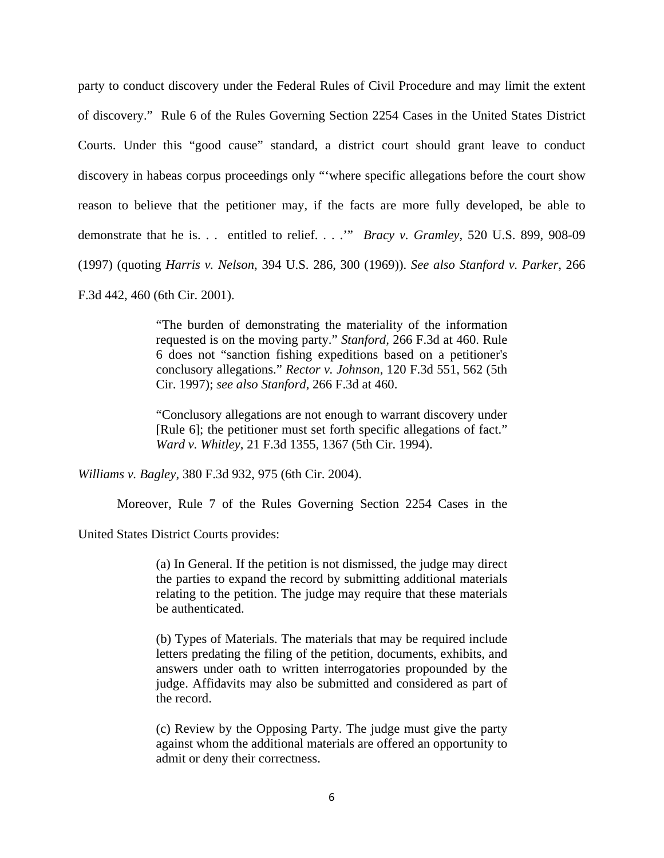party to conduct discovery under the Federal Rules of Civil Procedure and may limit the extent of discovery." Rule 6 of the Rules Governing Section 2254 Cases in the United States District Courts. Under this "good cause" standard, a district court should grant leave to conduct discovery in habeas corpus proceedings only "'where specific allegations before the court show reason to believe that the petitioner may, if the facts are more fully developed, be able to demonstrate that he is. . . entitled to relief. . . .'" *Bracy v. Gramley*, 520 U.S. 899, 908-09 (1997) (quoting *Harris v. Nelson*, 394 U.S. 286, 300 (1969)). *See also Stanford v. Parker*, 266 F.3d 442, 460 (6th Cir. 2001).

> "The burden of demonstrating the materiality of the information requested is on the moving party." *Stanford,* 266 F.3d at 460. Rule 6 does not "sanction fishing expeditions based on a petitioner's conclusory allegations." *Rector v. Johnson*, 120 F.3d 551, 562 (5th Cir. 1997); *see also Stanford*, 266 F.3d at 460.

> "Conclusory allegations are not enough to warrant discovery under [Rule 6]; the petitioner must set forth specific allegations of fact." *Ward v. Whitley*, 21 F.3d 1355, 1367 (5th Cir. 1994).

*Williams v. Bagley*, 380 F.3d 932, 975 (6th Cir. 2004).

Moreover, Rule 7 of the Rules Governing Section 2254 Cases in the

United States District Courts provides:

(a) In General. If the petition is not dismissed, the judge may direct the parties to expand the record by submitting additional materials relating to the petition. The judge may require that these materials be authenticated.

(b) Types of Materials. The materials that may be required include letters predating the filing of the petition, documents, exhibits, and answers under oath to written interrogatories propounded by the judge. Affidavits may also be submitted and considered as part of the record.

(c) Review by the Opposing Party. The judge must give the party against whom the additional materials are offered an opportunity to admit or deny their correctness.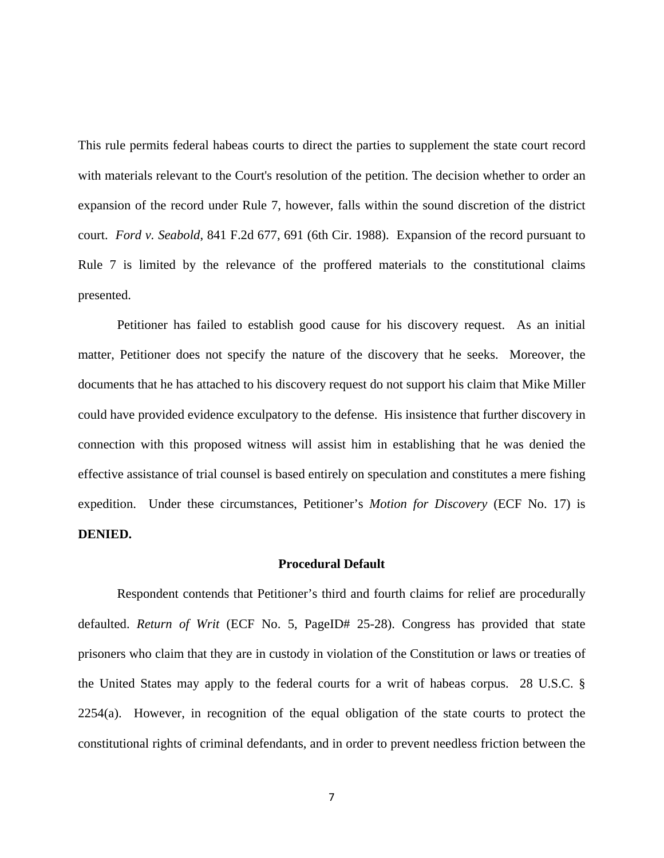This rule permits federal habeas courts to direct the parties to supplement the state court record with materials relevant to the Court's resolution of the petition. The decision whether to order an expansion of the record under Rule 7, however, falls within the sound discretion of the district court. *Ford v. Seabold*, 841 F.2d 677, 691 (6th Cir. 1988). Expansion of the record pursuant to Rule 7 is limited by the relevance of the proffered materials to the constitutional claims presented.

Petitioner has failed to establish good cause for his discovery request. As an initial matter, Petitioner does not specify the nature of the discovery that he seeks. Moreover, the documents that he has attached to his discovery request do not support his claim that Mike Miller could have provided evidence exculpatory to the defense. His insistence that further discovery in connection with this proposed witness will assist him in establishing that he was denied the effective assistance of trial counsel is based entirely on speculation and constitutes a mere fishing expedition. Under these circumstances, Petitioner's *Motion for Discovery* (ECF No. 17) is **DENIED.**

#### **Procedural Default**

Respondent contends that Petitioner's third and fourth claims for relief are procedurally defaulted. *Return of Writ* (ECF No. 5, PageID# 25-28). Congress has provided that state prisoners who claim that they are in custody in violation of the Constitution or laws or treaties of the United States may apply to the federal courts for a writ of habeas corpus. 28 U.S.C. § 2254(a). However, in recognition of the equal obligation of the state courts to protect the constitutional rights of criminal defendants, and in order to prevent needless friction between the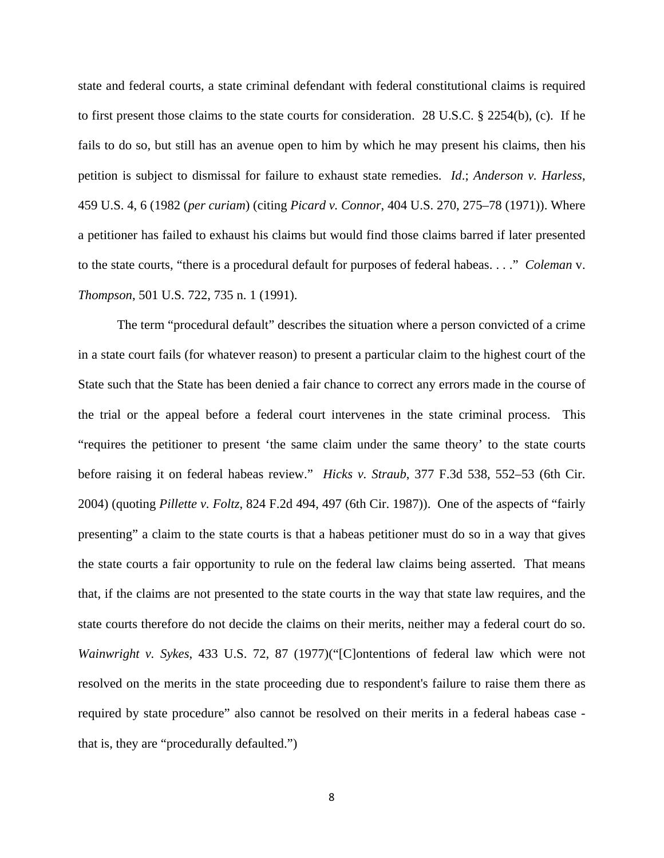state and federal courts, a state criminal defendant with federal constitutional claims is required to first present those claims to the state courts for consideration. 28 U.S.C. § 2254(b), (c). If he fails to do so, but still has an avenue open to him by which he may present his claims, then his petition is subject to dismissal for failure to exhaust state remedies. *Id*.; *Anderson v. Harless*, 459 U.S. 4, 6 (1982 (*per curiam*) (citing *Picard v. Connor*, 404 U.S. 270, 275–78 (1971)). Where a petitioner has failed to exhaust his claims but would find those claims barred if later presented to the state courts, "there is a procedural default for purposes of federal habeas. . . ." *Coleman* v. *Thompson*, 501 U.S. 722, 735 n. 1 (1991).

The term "procedural default" describes the situation where a person convicted of a crime in a state court fails (for whatever reason) to present a particular claim to the highest court of the State such that the State has been denied a fair chance to correct any errors made in the course of the trial or the appeal before a federal court intervenes in the state criminal process. This "requires the petitioner to present 'the same claim under the same theory' to the state courts before raising it on federal habeas review." *Hicks v. Straub*, 377 F.3d 538, 552–53 (6th Cir. 2004) (quoting *Pillette v. Foltz*, 824 F.2d 494, 497 (6th Cir. 1987)). One of the aspects of "fairly presenting" a claim to the state courts is that a habeas petitioner must do so in a way that gives the state courts a fair opportunity to rule on the federal law claims being asserted. That means that, if the claims are not presented to the state courts in the way that state law requires, and the state courts therefore do not decide the claims on their merits, neither may a federal court do so. *Wainwright v. Sykes*, 433 U.S. 72, 87 (1977)("[C]ontentions of federal law which were not resolved on the merits in the state proceeding due to respondent's failure to raise them there as required by state procedure" also cannot be resolved on their merits in a federal habeas case that is, they are "procedurally defaulted.")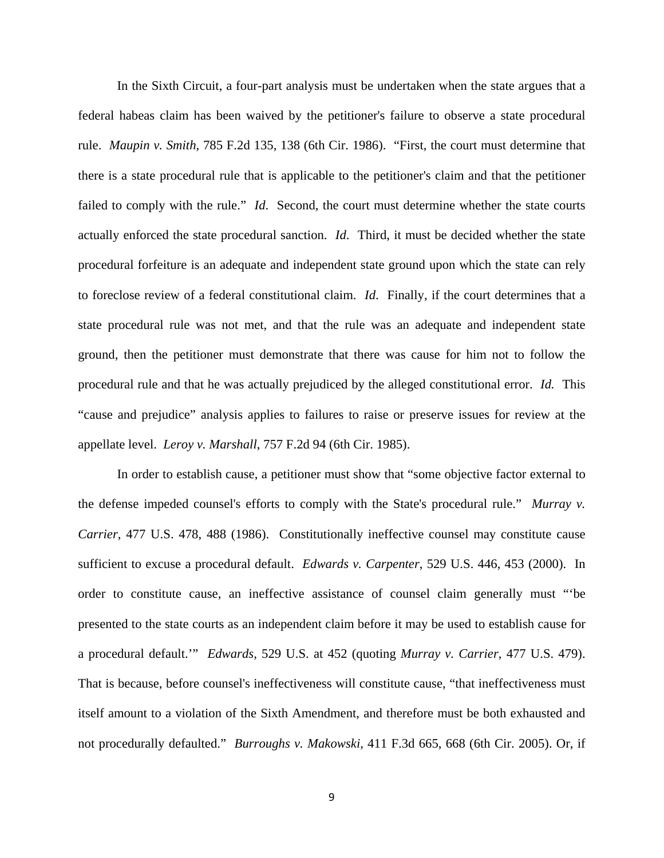In the Sixth Circuit, a four-part analysis must be undertaken when the state argues that a federal habeas claim has been waived by the petitioner's failure to observe a state procedural rule. *Maupin v. Smith*, 785 F.2d 135, 138 (6th Cir. 1986). "First, the court must determine that there is a state procedural rule that is applicable to the petitioner's claim and that the petitioner failed to comply with the rule." *Id*. Second, the court must determine whether the state courts actually enforced the state procedural sanction. *Id*. Third, it must be decided whether the state procedural forfeiture is an adequate and independent state ground upon which the state can rely to foreclose review of a federal constitutional claim. *Id*. Finally, if the court determines that a state procedural rule was not met, and that the rule was an adequate and independent state ground, then the petitioner must demonstrate that there was cause for him not to follow the procedural rule and that he was actually prejudiced by the alleged constitutional error. *Id.* This "cause and prejudice" analysis applies to failures to raise or preserve issues for review at the appellate level. *Leroy v. Marshall*, 757 F.2d 94 (6th Cir. 1985).

In order to establish cause, a petitioner must show that "some objective factor external to the defense impeded counsel's efforts to comply with the State's procedural rule." *Murray v. Carrier*, 477 U.S. 478, 488 (1986). Constitutionally ineffective counsel may constitute cause sufficient to excuse a procedural default. *Edwards v. Carpenter*, 529 U.S. 446, 453 (2000). In order to constitute cause, an ineffective assistance of counsel claim generally must "'be presented to the state courts as an independent claim before it may be used to establish cause for a procedural default.'" *Edwards*, 529 U.S. at 452 (quoting *Murray v. Carrier*, 477 U.S. 479). That is because, before counsel's ineffectiveness will constitute cause, "that ineffectiveness must itself amount to a violation of the Sixth Amendment, and therefore must be both exhausted and not procedurally defaulted." *Burroughs v. Makowski*, 411 F.3d 665, 668 (6th Cir. 2005). Or, if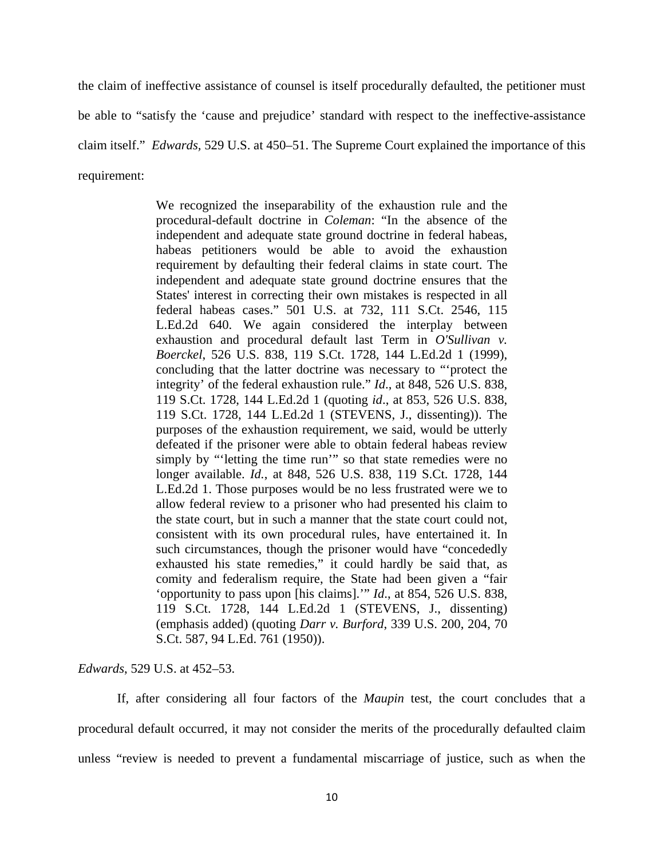the claim of ineffective assistance of counsel is itself procedurally defaulted, the petitioner must be able to "satisfy the 'cause and prejudice' standard with respect to the ineffective-assistance claim itself." *Edwards,* 529 U.S. at 450–51. The Supreme Court explained the importance of this requirement:

> We recognized the inseparability of the exhaustion rule and the procedural-default doctrine in *Coleman*: "In the absence of the independent and adequate state ground doctrine in federal habeas, habeas petitioners would be able to avoid the exhaustion requirement by defaulting their federal claims in state court. The independent and adequate state ground doctrine ensures that the States' interest in correcting their own mistakes is respected in all federal habeas cases." 501 U.S. at 732, 111 S.Ct. 2546, 115 L.Ed.2d 640. We again considered the interplay between exhaustion and procedural default last Term in *O'Sullivan v. Boerckel*, 526 U.S. 838, 119 S.Ct. 1728, 144 L.Ed.2d 1 (1999), concluding that the latter doctrine was necessary to "'protect the integrity' of the federal exhaustion rule." *Id*., at 848, 526 U.S. 838, 119 S.Ct. 1728, 144 L.Ed.2d 1 (quoting *id*., at 853, 526 U.S. 838, 119 S.Ct. 1728, 144 L.Ed.2d 1 (STEVENS, J., dissenting)). The purposes of the exhaustion requirement, we said, would be utterly defeated if the prisoner were able to obtain federal habeas review simply by "'letting the time run'" so that state remedies were no longer available. *Id.*, at 848, 526 U.S. 838, 119 S.Ct. 1728, 144 L.Ed.2d 1. Those purposes would be no less frustrated were we to allow federal review to a prisoner who had presented his claim to the state court, but in such a manner that the state court could not, consistent with its own procedural rules, have entertained it. In such circumstances, though the prisoner would have "concededly exhausted his state remedies," it could hardly be said that, as comity and federalism require, the State had been given a "fair 'opportunity to pass upon [his claims].'" *Id*., at 854, 526 U.S. 838, 119 S.Ct. 1728, 144 L.Ed.2d 1 (STEVENS, J., dissenting) (emphasis added) (quoting *Darr v. Burford*, 339 U.S. 200, 204, 70 S.Ct. 587, 94 L.Ed. 761 (1950)).

*Edwards*, 529 U.S. at 452–53.

If, after considering all four factors of the *Maupin* test, the court concludes that a procedural default occurred, it may not consider the merits of the procedurally defaulted claim unless "review is needed to prevent a fundamental miscarriage of justice, such as when the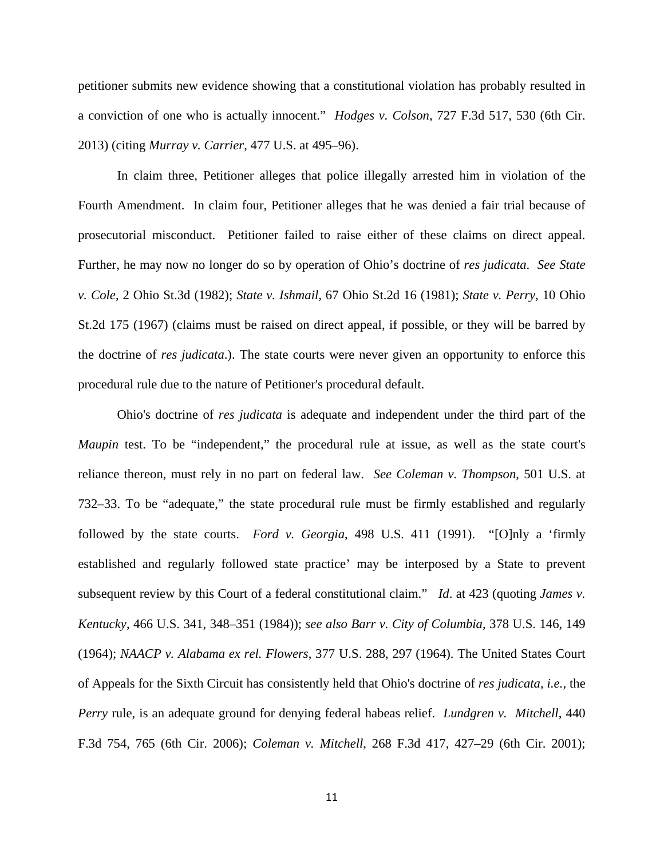petitioner submits new evidence showing that a constitutional violation has probably resulted in a conviction of one who is actually innocent." *Hodges v. Colson*, 727 F.3d 517, 530 (6th Cir. 2013) (citing *Murray v. Carrier*, 477 U.S. at 495–96).

In claim three, Petitioner alleges that police illegally arrested him in violation of the Fourth Amendment. In claim four, Petitioner alleges that he was denied a fair trial because of prosecutorial misconduct. Petitioner failed to raise either of these claims on direct appeal. Further, he may now no longer do so by operation of Ohio's doctrine of *res judicata*. *See State v. Cole*, 2 Ohio St.3d (1982); *State v. Ishmail,* 67 Ohio St.2d 16 (1981); *State v. Perry*, 10 Ohio St.2d 175 (1967) (claims must be raised on direct appeal, if possible, or they will be barred by the doctrine of *res judicata*.). The state courts were never given an opportunity to enforce this procedural rule due to the nature of Petitioner's procedural default.

Ohio's doctrine of *res judicata* is adequate and independent under the third part of the *Maupin* test. To be "independent," the procedural rule at issue, as well as the state court's reliance thereon, must rely in no part on federal law. *See Coleman v. Thompson*, 501 U.S. at 732–33. To be "adequate," the state procedural rule must be firmly established and regularly followed by the state courts. *Ford v. Georgia*, 498 U.S. 411 (1991). "[O]nly a 'firmly established and regularly followed state practice' may be interposed by a State to prevent subsequent review by this Court of a federal constitutional claim." *Id*. at 423 (quoting *James v. Kentucky*, 466 U.S. 341, 348–351 (1984)); *see also Barr v. City of Columbia*, 378 U.S. 146, 149 (1964); *NAACP v. Alabama ex rel. Flowers*, 377 U.S. 288, 297 (1964). The United States Court of Appeals for the Sixth Circuit has consistently held that Ohio's doctrine of *res judicata, i.e.,* the *Perry* rule, is an adequate ground for denying federal habeas relief. *Lundgren v. Mitchell*, 440 F.3d 754, 765 (6th Cir. 2006); *Coleman v. Mitchell*, 268 F.3d 417, 427–29 (6th Cir. 2001);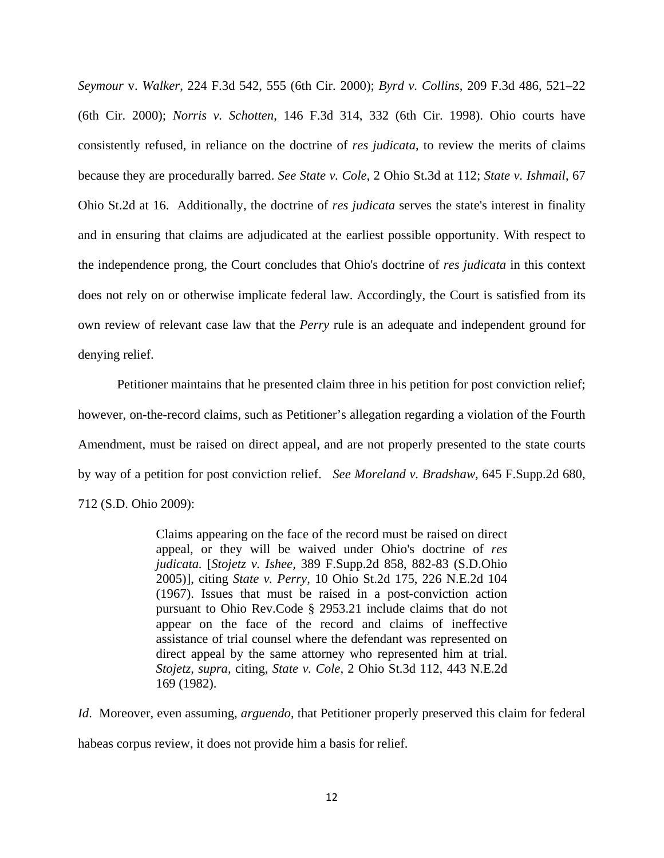*Seymour* v. *Walker*, 224 F.3d 542, 555 (6th Cir. 2000); *Byrd v. Collins*, 209 F.3d 486, 521–22 (6th Cir. 2000); *Norris v. Schotten*, 146 F.3d 314, 332 (6th Cir. 1998). Ohio courts have consistently refused, in reliance on the doctrine of *res judicata*, to review the merits of claims because they are procedurally barred. *See State v. Cole*, 2 Ohio St.3d at 112; *State v. Ishmail*, 67 Ohio St.2d at 16. Additionally, the doctrine of *res judicata* serves the state's interest in finality and in ensuring that claims are adjudicated at the earliest possible opportunity. With respect to the independence prong, the Court concludes that Ohio's doctrine of *res judicata* in this context does not rely on or otherwise implicate federal law. Accordingly, the Court is satisfied from its own review of relevant case law that the *Perry* rule is an adequate and independent ground for denying relief.

Petitioner maintains that he presented claim three in his petition for post conviction relief; however, on-the-record claims, such as Petitioner's allegation regarding a violation of the Fourth Amendment, must be raised on direct appeal, and are not properly presented to the state courts by way of a petition for post conviction relief. *See Moreland v. Bradshaw,* 645 F.Supp.2d 680, 712 (S.D. Ohio 2009):

> Claims appearing on the face of the record must be raised on direct appeal, or they will be waived under Ohio's doctrine of *res judicata.* [*Stojetz v. Ishee,* 389 F.Supp.2d 858, 882-83 (S.D.Ohio 2005)], citing *State v. Perry*, 10 Ohio St.2d 175, 226 N.E.2d 104 (1967). Issues that must be raised in a post-conviction action pursuant to Ohio Rev.Code § 2953.21 include claims that do not appear on the face of the record and claims of ineffective assistance of trial counsel where the defendant was represented on direct appeal by the same attorney who represented him at trial. *Stojetz, supra,* citing, *State v. Cole*, 2 Ohio St.3d 112, 443 N.E.2d 169 (1982).

*Id*. Moreover, even assuming, *arguendo*, that Petitioner properly preserved this claim for federal habeas corpus review, it does not provide him a basis for relief.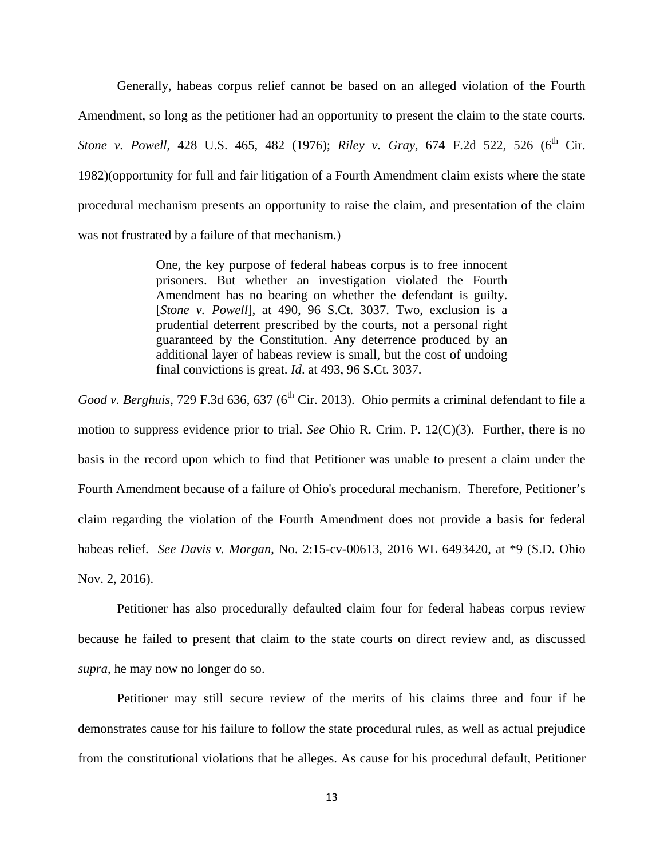Generally, habeas corpus relief cannot be based on an alleged violation of the Fourth Amendment, so long as the petitioner had an opportunity to present the claim to the state courts. *Stone v. Powell*, 428 U.S. 465, 482 (1976); *Riley v. Gray*, 674 F.2d 522, 526 (6<sup>th</sup> Cir. 1982)(opportunity for full and fair litigation of a Fourth Amendment claim exists where the state procedural mechanism presents an opportunity to raise the claim, and presentation of the claim was not frustrated by a failure of that mechanism.)

> One, the key purpose of federal habeas corpus is to free innocent prisoners. But whether an investigation violated the Fourth Amendment has no bearing on whether the defendant is guilty. [*Stone v. Powell*], at 490, 96 S.Ct. 3037. Two, exclusion is a prudential deterrent prescribed by the courts, not a personal right guaranteed by the Constitution. Any deterrence produced by an additional layer of habeas review is small, but the cost of undoing final convictions is great. *Id*. at 493, 96 S.Ct. 3037.

*Good v. Berghuis*, 729 F.3d 636, 637 (6<sup>th</sup> Cir. 2013). Ohio permits a criminal defendant to file a motion to suppress evidence prior to trial. *See* Ohio R. Crim. P. 12(C)(3). Further, there is no basis in the record upon which to find that Petitioner was unable to present a claim under the Fourth Amendment because of a failure of Ohio's procedural mechanism. Therefore, Petitioner's claim regarding the violation of the Fourth Amendment does not provide a basis for federal habeas relief. *See Davis v. Morgan*, No. 2:15-cv-00613, 2016 WL 6493420, at \*9 (S.D. Ohio Nov. 2, 2016).

Petitioner has also procedurally defaulted claim four for federal habeas corpus review because he failed to present that claim to the state courts on direct review and, as discussed *supra*, he may now no longer do so.

Petitioner may still secure review of the merits of his claims three and four if he demonstrates cause for his failure to follow the state procedural rules, as well as actual prejudice from the constitutional violations that he alleges. As cause for his procedural default, Petitioner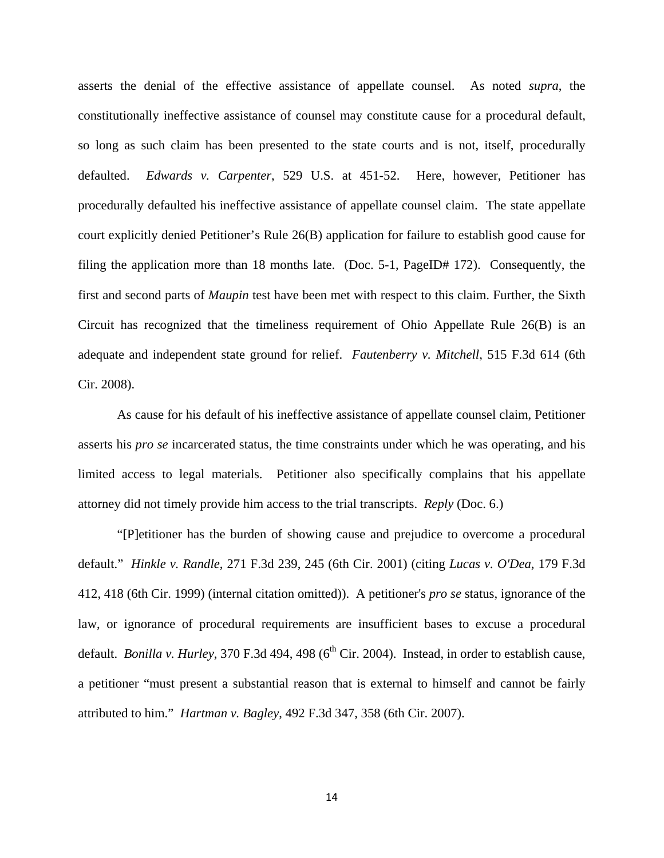asserts the denial of the effective assistance of appellate counsel. As noted *supra*, the constitutionally ineffective assistance of counsel may constitute cause for a procedural default, so long as such claim has been presented to the state courts and is not, itself, procedurally defaulted. *Edwards v. Carpenter*, 529 U.S. at 451-52. Here, however, Petitioner has procedurally defaulted his ineffective assistance of appellate counsel claim. The state appellate court explicitly denied Petitioner's Rule 26(B) application for failure to establish good cause for filing the application more than 18 months late. (Doc. 5-1, PageID# 172). Consequently, the first and second parts of *Maupin* test have been met with respect to this claim. Further, the Sixth Circuit has recognized that the timeliness requirement of Ohio Appellate Rule 26(B) is an adequate and independent state ground for relief. *Fautenberry v. Mitchell*, 515 F.3d 614 (6th Cir. 2008).

As cause for his default of his ineffective assistance of appellate counsel claim, Petitioner asserts his *pro se* incarcerated status, the time constraints under which he was operating, and his limited access to legal materials. Petitioner also specifically complains that his appellate attorney did not timely provide him access to the trial transcripts. *Reply* (Doc. 6.)

"[P]etitioner has the burden of showing cause and prejudice to overcome a procedural default." *Hinkle v. Randle*, 271 F.3d 239, 245 (6th Cir. 2001) (citing *Lucas v. O'Dea*, 179 F.3d 412, 418 (6th Cir. 1999) (internal citation omitted)). A petitioner's *pro se* status, ignorance of the law, or ignorance of procedural requirements are insufficient bases to excuse a procedural default. *Bonilla v. Hurley*,  $370$  F.3d  $494$ ,  $498$  ( $6<sup>th</sup>$  Cir. 2004). Instead, in order to establish cause, a petitioner "must present a substantial reason that is external to himself and cannot be fairly attributed to him." *Hartman v. Bagley*, 492 F.3d 347, 358 (6th Cir. 2007).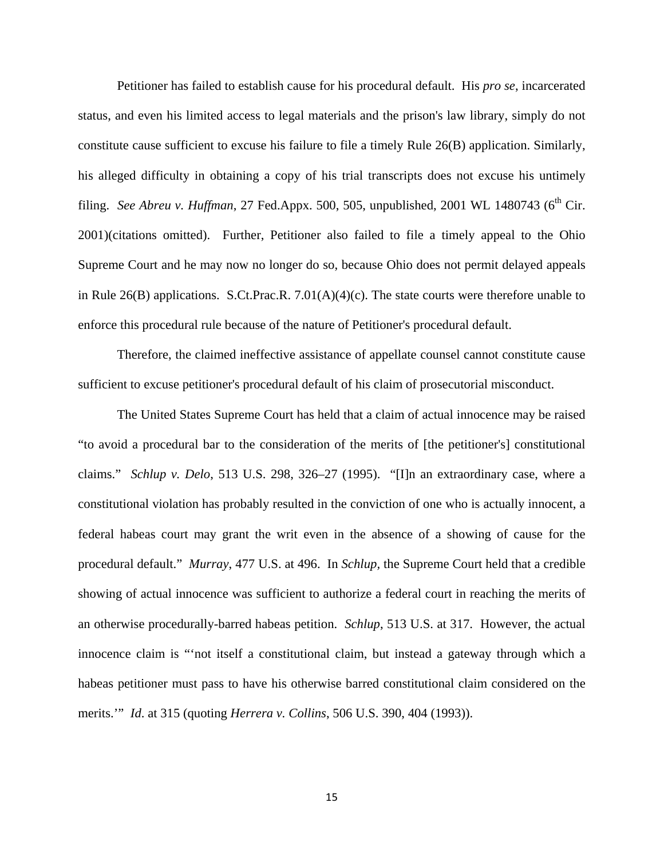Petitioner has failed to establish cause for his procedural default. His *pro se*, incarcerated status, and even his limited access to legal materials and the prison's law library, simply do not constitute cause sufficient to excuse his failure to file a timely Rule 26(B) application. Similarly, his alleged difficulty in obtaining a copy of his trial transcripts does not excuse his untimely filing. *See Abreu v. Huffman*, 27 Fed.Appx. 500, 505, unpublished, 2001 WL 1480743 ( $6<sup>th</sup> Cir$ . 2001)(citations omitted). Further, Petitioner also failed to file a timely appeal to the Ohio Supreme Court and he may now no longer do so, because Ohio does not permit delayed appeals in Rule 26(B) applications. S.Ct.Prac.R. 7.01(A)(4)(c). The state courts were therefore unable to enforce this procedural rule because of the nature of Petitioner's procedural default.

Therefore, the claimed ineffective assistance of appellate counsel cannot constitute cause sufficient to excuse petitioner's procedural default of his claim of prosecutorial misconduct.

The United States Supreme Court has held that a claim of actual innocence may be raised "to avoid a procedural bar to the consideration of the merits of [the petitioner's] constitutional claims." *Schlup v. Delo*, 513 U.S. 298, 326–27 (1995). "[I]n an extraordinary case, where a constitutional violation has probably resulted in the conviction of one who is actually innocent, a federal habeas court may grant the writ even in the absence of a showing of cause for the procedural default." *Murray*, 477 U.S. at 496. In *Schlup,* the Supreme Court held that a credible showing of actual innocence was sufficient to authorize a federal court in reaching the merits of an otherwise procedurally-barred habeas petition. *Schlup*, 513 U.S. at 317. However, the actual innocence claim is "'not itself a constitutional claim, but instead a gateway through which a habeas petitioner must pass to have his otherwise barred constitutional claim considered on the merits.'" *Id*. at 315 (quoting *Herrera v. Collins*, 506 U.S. 390, 404 (1993)).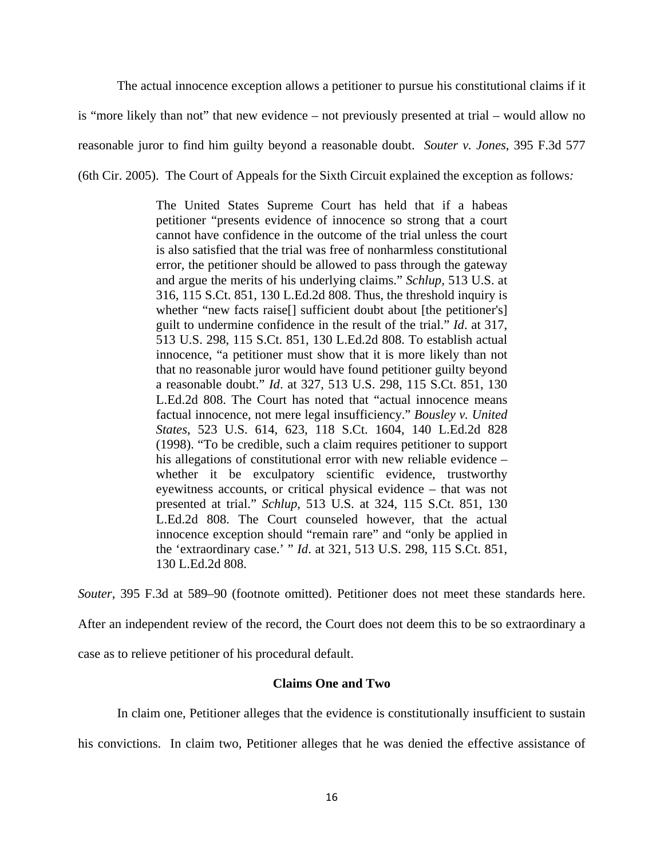The actual innocence exception allows a petitioner to pursue his constitutional claims if it is "more likely than not" that new evidence – not previously presented at trial – would allow no reasonable juror to find him guilty beyond a reasonable doubt. *Souter v. Jones*, 395 F.3d 577 (6th Cir. 2005). The Court of Appeals for the Sixth Circuit explained the exception as follows*:* 

> The United States Supreme Court has held that if a habeas petitioner "presents evidence of innocence so strong that a court cannot have confidence in the outcome of the trial unless the court is also satisfied that the trial was free of nonharmless constitutional error, the petitioner should be allowed to pass through the gateway and argue the merits of his underlying claims." *Schlup,* 513 U.S. at 316, 115 S.Ct. 851, 130 L.Ed.2d 808. Thus, the threshold inquiry is whether "new facts raise<sup>[]</sup> sufficient doubt about [the petitioner's] guilt to undermine confidence in the result of the trial." *Id*. at 317, 513 U.S. 298, 115 S.Ct. 851, 130 L.Ed.2d 808. To establish actual innocence, "a petitioner must show that it is more likely than not that no reasonable juror would have found petitioner guilty beyond a reasonable doubt." *Id*. at 327, 513 U.S. 298, 115 S.Ct. 851, 130 L.Ed.2d 808. The Court has noted that "actual innocence means factual innocence, not mere legal insufficiency." *Bousley v. United States*, 523 U.S. 614, 623, 118 S.Ct. 1604, 140 L.Ed.2d 828 (1998). "To be credible, such a claim requires petitioner to support his allegations of constitutional error with new reliable evidence – whether it be exculpatory scientific evidence, trustworthy eyewitness accounts, or critical physical evidence – that was not presented at trial." *Schlup*, 513 U.S. at 324, 115 S.Ct. 851, 130 L.Ed.2d 808. The Court counseled however, that the actual innocence exception should "remain rare" and "only be applied in the 'extraordinary case.' " *Id*. at 321, 513 U.S. 298, 115 S.Ct. 851, 130 L.Ed.2d 808.

*Souter*, 395 F.3d at 589–90 (footnote omitted). Petitioner does not meet these standards here.

After an independent review of the record, the Court does not deem this to be so extraordinary a case as to relieve petitioner of his procedural default.

## **Claims One and Two**

In claim one, Petitioner alleges that the evidence is constitutionally insufficient to sustain

his convictions. In claim two, Petitioner alleges that he was denied the effective assistance of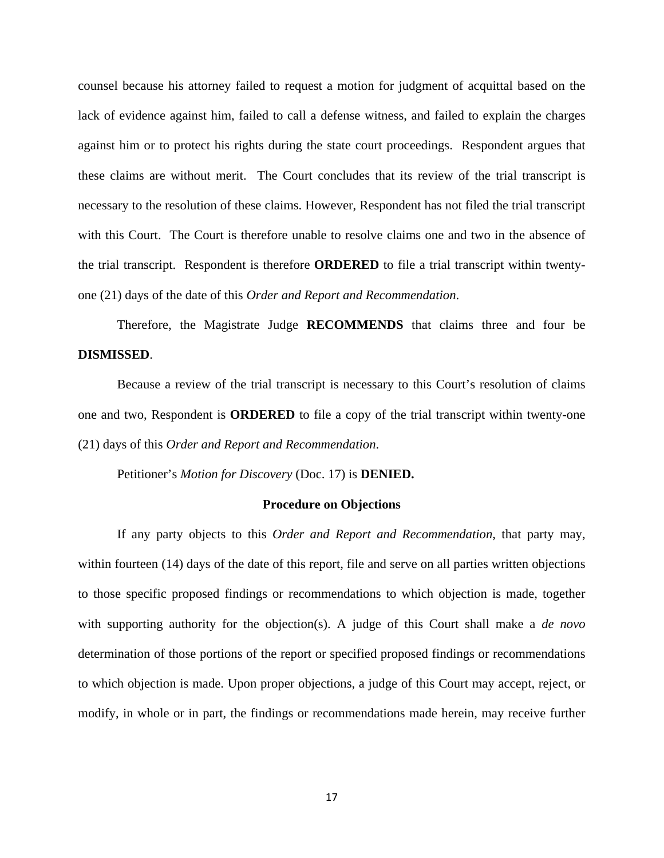counsel because his attorney failed to request a motion for judgment of acquittal based on the lack of evidence against him, failed to call a defense witness, and failed to explain the charges against him or to protect his rights during the state court proceedings. Respondent argues that these claims are without merit. The Court concludes that its review of the trial transcript is necessary to the resolution of these claims. However, Respondent has not filed the trial transcript with this Court. The Court is therefore unable to resolve claims one and two in the absence of the trial transcript. Respondent is therefore **ORDERED** to file a trial transcript within twentyone (21) days of the date of this *Order and Report and Recommendation*.

Therefore, the Magistrate Judge **RECOMMENDS** that claims three and four be **DISMISSED**.

Because a review of the trial transcript is necessary to this Court's resolution of claims one and two, Respondent is **ORDERED** to file a copy of the trial transcript within twenty-one (21) days of this *Order and Report and Recommendation*.

Petitioner's *Motion for Discovery* (Doc. 17) is **DENIED.** 

#### **Procedure on Objections**

If any party objects to this *Order and Report and Recommendation*, that party may, within fourteen (14) days of the date of this report, file and serve on all parties written objections to those specific proposed findings or recommendations to which objection is made, together with supporting authority for the objection(s). A judge of this Court shall make a *de novo* determination of those portions of the report or specified proposed findings or recommendations to which objection is made. Upon proper objections, a judge of this Court may accept, reject, or modify, in whole or in part, the findings or recommendations made herein, may receive further